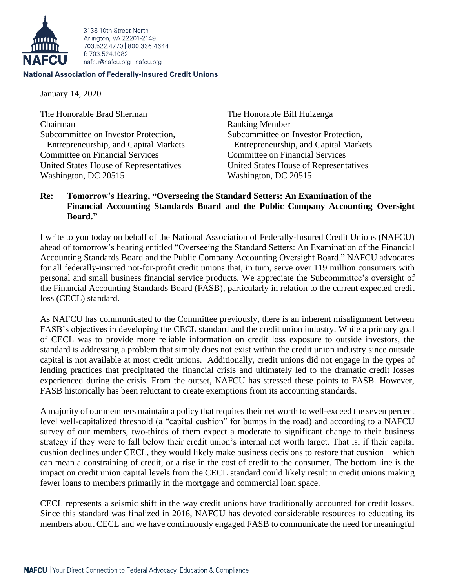

3138 10th Street North Arlington, VA 22201-2149 703 522 4770 800 336 4644 f: 703.524.1082 nafcu@nafcu.org | nafcu.org

## **National Association of Federally-Insured Credit Unions**

January 14, 2020

The Honorable Brad Sherman The Honorable Bill Huizenga Chairman Ranking Member Subcommittee on Investor Protection, Subcommittee on Investor Protection, Committee on Financial Services Committee on Financial Services United States House of Representatives United States House of Representatives Washington, DC 20515 Washington, DC 20515

Entrepreneurship, and Capital Markets Entrepreneurship, and Capital Markets

## **Re: Tomorrow's Hearing, "Overseeing the Standard Setters: An Examination of the Financial Accounting Standards Board and the Public Company Accounting Oversight Board."**

I write to you today on behalf of the National Association of Federally-Insured Credit Unions (NAFCU) ahead of tomorrow's hearing entitled "Overseeing the Standard Setters: An Examination of the Financial Accounting Standards Board and the Public Company Accounting Oversight Board." NAFCU advocates for all federally-insured not-for-profit credit unions that, in turn, serve over 119 million consumers with personal and small business financial service products. We appreciate the Subcommittee's oversight of the Financial Accounting Standards Board (FASB), particularly in relation to the current expected credit loss (CECL) standard.

As NAFCU has communicated to the Committee previously, there is an inherent misalignment between FASB's objectives in developing the CECL standard and the credit union industry. While a primary goal of CECL was to provide more reliable information on credit loss exposure to outside investors, the standard is addressing a problem that simply does not exist within the credit union industry since outside capital is not available at most credit unions. Additionally, credit unions did not engage in the types of lending practices that precipitated the financial crisis and ultimately led to the dramatic credit losses experienced during the crisis. From the outset, NAFCU has stressed these points to FASB. However, FASB historically has been reluctant to create exemptions from its accounting standards.

A majority of our members maintain a policy that requires their net worth to well-exceed the seven percent level well-capitalized threshold (a "capital cushion" for bumps in the road) and according to a NAFCU survey of our members, two-thirds of them expect a moderate to significant change to their business strategy if they were to fall below their credit union's internal net worth target. That is, if their capital cushion declines under CECL, they would likely make business decisions to restore that cushion – which can mean a constraining of credit, or a rise in the cost of credit to the consumer. The bottom line is the impact on credit union capital levels from the CECL standard could likely result in credit unions making fewer loans to members primarily in the mortgage and commercial loan space.

CECL represents a seismic shift in the way credit unions have traditionally accounted for credit losses. Since this standard was finalized in 2016, NAFCU has devoted considerable resources to educating its members about CECL and we have continuously engaged FASB to communicate the need for meaningful